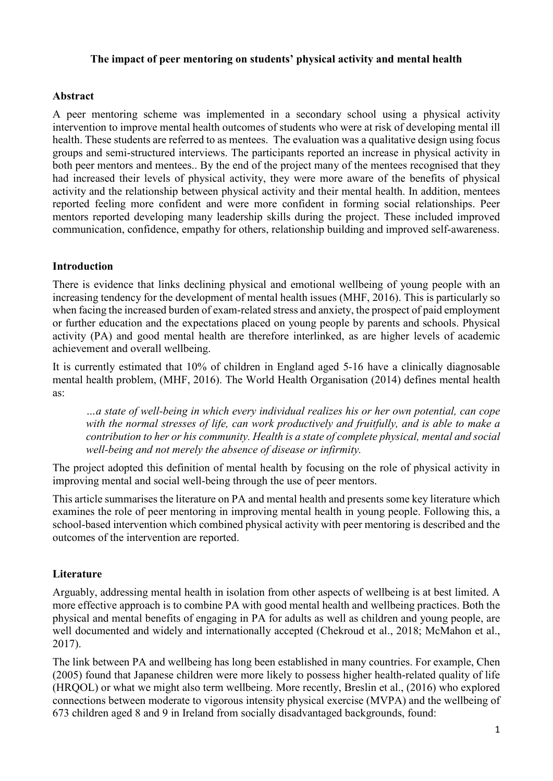### **The impact of peer mentoring on students' physical activity and mental health**

### **Abstract**

A peer mentoring scheme was implemented in a secondary school using a physical activity intervention to improve mental health outcomes of students who were at risk of developing mental ill health. These students are referred to as mentees. The evaluation was a qualitative design using focus groups and semi-structured interviews. The participants reported an increase in physical activity in both peer mentors and mentees.. By the end of the project many of the mentees recognised that they had increased their levels of physical activity, they were more aware of the benefits of physical activity and the relationship between physical activity and their mental health. In addition, mentees reported feeling more confident and were more confident in forming social relationships. Peer mentors reported developing many leadership skills during the project. These included improved communication, confidence, empathy for others, relationship building and improved self-awareness.

## **Introduction**

There is evidence that links declining physical and emotional wellbeing of young people with an increasing tendency for the development of mental health issues (MHF, 2016). This is particularly so when facing the increased burden of exam-related stress and anxiety, the prospect of paid employment or further education and the expectations placed on young people by parents and schools. Physical activity (PA) and good mental health are therefore interlinked, as are higher levels of academic achievement and overall wellbeing.

It is currently estimated that 10% of children in England aged 5-16 have a clinically diagnosable mental health problem, (MHF, 2016). The World Health Organisation (2014) defines mental health as:

*…a state of well-being in which every individual realizes his or her own potential, can cope with the normal stresses of life, can work productively and fruitfully, and is able to make a contribution to her or his community. Health is a state of complete physical, mental and social well-being and not merely the absence of disease or infirmity.*

The project adopted this definition of mental health by focusing on the role of physical activity in improving mental and social well-being through the use of peer mentors.

This article summarises the literature on PA and mental health and presents some key literature which examines the role of peer mentoring in improving mental health in young people. Following this, a school-based intervention which combined physical activity with peer mentoring is described and the outcomes of the intervention are reported.

## **Literature**

Arguably, addressing mental health in isolation from other aspects of wellbeing is at best limited. A more effective approach is to combine PA with good mental health and wellbeing practices. Both the physical and mental benefits of engaging in PA for adults as well as children and young people, are well documented and widely and internationally accepted (Chekroud et al., 2018; McMahon et al., 2017).

The link between PA and wellbeing has long been established in many countries. For example, Chen (2005) found that Japanese children were more likely to possess higher health-related quality of life (HRQOL) or what we might also term wellbeing. More recently, Breslin et al., (2016) who explored connections between moderate to vigorous intensity physical exercise (MVPA) and the wellbeing of 673 children aged 8 and 9 in Ireland from socially disadvantaged backgrounds, found: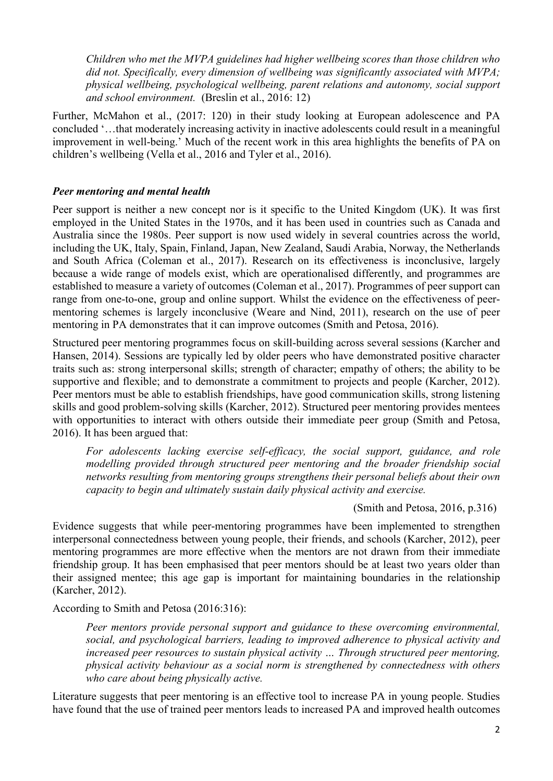*Children who met the MVPA guidelines had higher wellbeing scores than those children who did not. Specifically, every dimension of wellbeing was significantly associated with MVPA; physical wellbeing, psychological wellbeing, parent relations and autonomy, social support and school environment.* (Breslin et al., 2016: 12)

Further, McMahon et al., (2017: 120) in their study looking at European adolescence and PA concluded '…that moderately increasing activity in inactive adolescents could result in a meaningful improvement in well-being.' Much of the recent work in this area highlights the benefits of PA on children's wellbeing (Vella et al., 2016 and Tyler et al., 2016).

## *Peer mentoring and mental health*

Peer support is neither a new concept nor is it specific to the United Kingdom (UK). It was first employed in the United States in the 1970s, and it has been used in countries such as Canada and Australia since the 1980s. Peer support is now used widely in several countries across the world, including the UK, Italy, Spain, Finland, Japan, New Zealand, Saudi Arabia, Norway, the Netherlands and South Africa (Coleman et al., 2017). Research on its effectiveness is inconclusive, largely because a wide range of models exist, which are operationalised differently, and programmes are established to measure a variety of outcomes (Coleman et al., 2017). Programmes of peer support can range from one-to-one, group and online support. Whilst the evidence on the effectiveness of peermentoring schemes is largely inconclusive (Weare and Nind, 2011), research on the use of peer mentoring in PA demonstrates that it can improve outcomes (Smith and Petosa, 2016).

Structured peer mentoring programmes focus on skill-building across several sessions (Karcher and Hansen, 2014). Sessions are typically led by older peers who have demonstrated positive character traits such as: strong interpersonal skills; strength of character; empathy of others; the ability to be supportive and flexible; and to demonstrate a commitment to projects and people (Karcher, 2012). Peer mentors must be able to establish friendships, have good communication skills, strong listening skills and good problem-solving skills (Karcher, 2012). Structured peer mentoring provides mentees with opportunities to interact with others outside their immediate peer group (Smith and Petosa, 2016). It has been argued that:

*For adolescents lacking exercise self-efficacy, the social support, guidance, and role modelling provided through structured peer mentoring and the broader friendship social networks resulting from mentoring groups strengthens their personal beliefs about their own capacity to begin and ultimately sustain daily physical activity and exercise.* 

(Smith and Petosa, 2016, p.316)

Evidence suggests that while peer-mentoring programmes have been implemented to strengthen interpersonal connectedness between young people, their friends, and schools (Karcher, 2012), peer mentoring programmes are more effective when the mentors are not drawn from their immediate friendship group. It has been emphasised that peer mentors should be at least two years older than their assigned mentee; this age gap is important for maintaining boundaries in the relationship (Karcher, 2012).

According to Smith and Petosa (2016:316):

*Peer mentors provide personal support and guidance to these overcoming environmental, social, and psychological barriers, leading to improved adherence to physical activity and increased peer resources to sustain physical activity … Through structured peer mentoring, physical activity behaviour as a social norm is strengthened by connectedness with others who care about being physically active.* 

Literature suggests that peer mentoring is an effective tool to increase PA in young people. Studies have found that the use of trained peer mentors leads to increased PA and improved health outcomes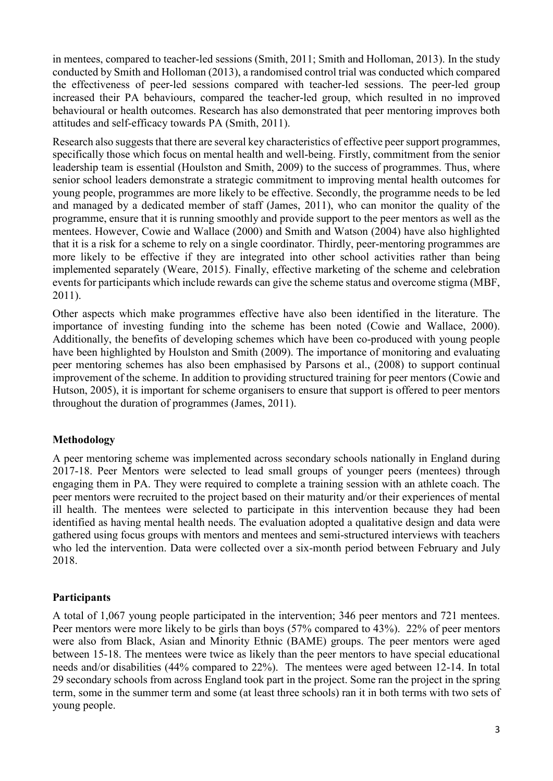in mentees, compared to teacher-led sessions (Smith, 2011; Smith and Holloman, 2013). In the study conducted by Smith and Holloman (2013), a randomised control trial was conducted which compared the effectiveness of peer-led sessions compared with teacher-led sessions. The peer-led group increased their PA behaviours, compared the teacher-led group, which resulted in no improved behavioural or health outcomes. Research has also demonstrated that peer mentoring improves both attitudes and self-efficacy towards PA (Smith, 2011).

Research also suggests that there are several key characteristics of effective peer support programmes, specifically those which focus on mental health and well-being. Firstly, commitment from the senior leadership team is essential (Houlston and Smith, 2009) to the success of programmes. Thus, where senior school leaders demonstrate a strategic commitment to improving mental health outcomes for young people, programmes are more likely to be effective. Secondly, the programme needs to be led and managed by a dedicated member of staff (James, 2011), who can monitor the quality of the programme, ensure that it is running smoothly and provide support to the peer mentors as well as the mentees. However, Cowie and Wallace (2000) and Smith and Watson (2004) have also highlighted that it is a risk for a scheme to rely on a single coordinator. Thirdly, peer-mentoring programmes are more likely to be effective if they are integrated into other school activities rather than being implemented separately (Weare, 2015). Finally, effective marketing of the scheme and celebration events for participants which include rewards can give the scheme status and overcome stigma (MBF, 2011).

Other aspects which make programmes effective have also been identified in the literature. The importance of investing funding into the scheme has been noted (Cowie and Wallace, 2000). Additionally, the benefits of developing schemes which have been co-produced with young people have been highlighted by Houlston and Smith (2009). The importance of monitoring and evaluating peer mentoring schemes has also been emphasised by Parsons et al., (2008) to support continual improvement of the scheme. In addition to providing structured training for peer mentors (Cowie and Hutson, 2005), it is important for scheme organisers to ensure that support is offered to peer mentors throughout the duration of programmes (James, 2011).

## **Methodology**

A peer mentoring scheme was implemented across secondary schools nationally in England during 2017-18. Peer Mentors were selected to lead small groups of younger peers (mentees) through engaging them in PA. They were required to complete a training session with an athlete coach. The peer mentors were recruited to the project based on their maturity and/or their experiences of mental ill health. The mentees were selected to participate in this intervention because they had been identified as having mental health needs. The evaluation adopted a qualitative design and data were gathered using focus groups with mentors and mentees and semi-structured interviews with teachers who led the intervention. Data were collected over a six-month period between February and July 2018.

## **Participants**

A total of 1,067 young people participated in the intervention; 346 peer mentors and 721 mentees. Peer mentors were more likely to be girls than boys (57% compared to 43%). 22% of peer mentors were also from Black, Asian and Minority Ethnic (BAME) groups. The peer mentors were aged between 15-18. The mentees were twice as likely than the peer mentors to have special educational needs and/or disabilities (44% compared to 22%). The mentees were aged between 12-14. In total 29 secondary schools from across England took part in the project. Some ran the project in the spring term, some in the summer term and some (at least three schools) ran it in both terms with two sets of young people.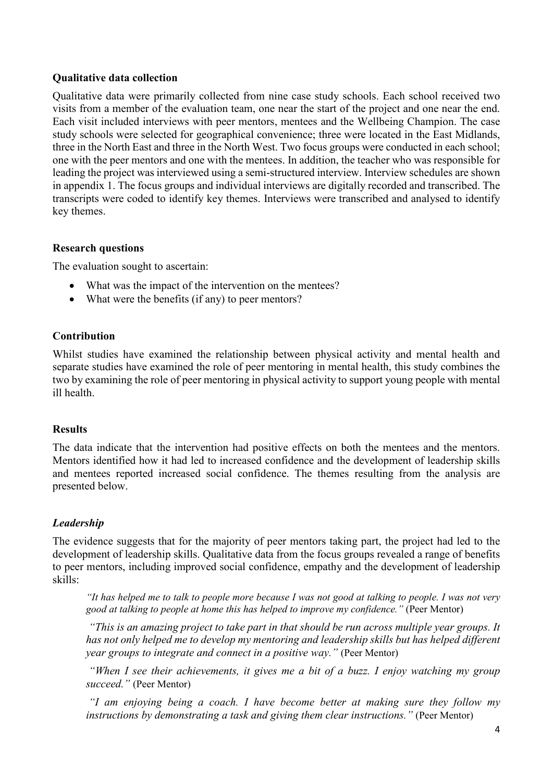### **Qualitative data collection**

Qualitative data were primarily collected from nine case study schools. Each school received two visits from a member of the evaluation team, one near the start of the project and one near the end. Each visit included interviews with peer mentors, mentees and the Wellbeing Champion. The case study schools were selected for geographical convenience; three were located in the East Midlands, three in the North East and three in the North West. Two focus groups were conducted in each school; one with the peer mentors and one with the mentees. In addition, the teacher who was responsible for leading the project was interviewed using a semi-structured interview. Interview schedules are shown in appendix 1. The focus groups and individual interviews are digitally recorded and transcribed. The transcripts were coded to identify key themes. Interviews were transcribed and analysed to identify key themes.

### **Research questions**

The evaluation sought to ascertain:

- What was the impact of the intervention on the mentees?
- What were the benefits (if any) to peer mentors?

### **Contribution**

Whilst studies have examined the relationship between physical activity and mental health and separate studies have examined the role of peer mentoring in mental health, this study combines the two by examining the role of peer mentoring in physical activity to support young people with mental ill health.

#### **Results**

The data indicate that the intervention had positive effects on both the mentees and the mentors. Mentors identified how it had led to increased confidence and the development of leadership skills and mentees reported increased social confidence. The themes resulting from the analysis are presented below.

## *Leadership*

The evidence suggests that for the majority of peer mentors taking part, the project had led to the development of leadership skills. Qualitative data from the focus groups revealed a range of benefits to peer mentors, including improved social confidence, empathy and the development of leadership skills:

*"It has helped me to talk to people more because I was not good at talking to people. I was not very good at talking to people at home this has helped to improve my confidence."* (Peer Mentor)

*"This is an amazing project to take part in that should be run across multiple year groups. It has not only helped me to develop my mentoring and leadership skills but has helped different year groups to integrate and connect in a positive way."* (Peer Mentor)

*"When I see their achievements, it gives me a bit of a buzz. I enjoy watching my group succeed."* (Peer Mentor)

*"I am enjoying being a coach. I have become better at making sure they follow my instructions by demonstrating a task and giving them clear instructions."* (Peer Mentor)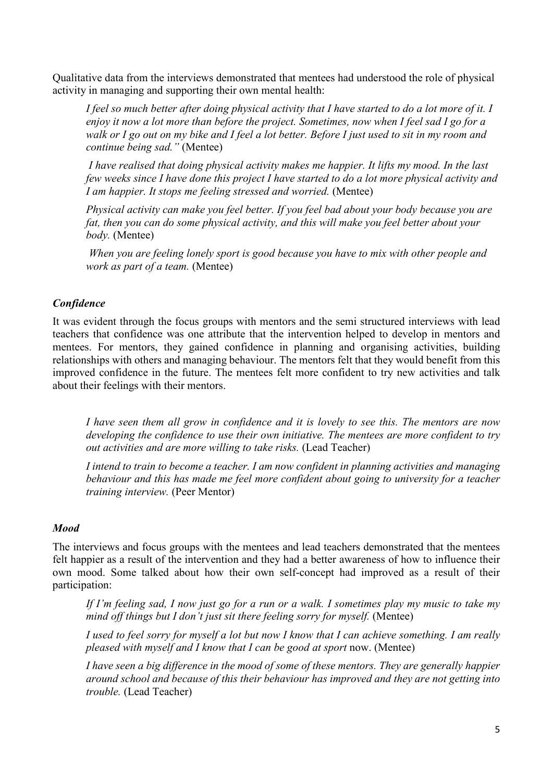Qualitative data from the interviews demonstrated that mentees had understood the role of physical activity in managing and supporting their own mental health:

*I feel so much better after doing physical activity that I have started to do a lot more of it. I enjoy it now a lot more than before the project. Sometimes, now when I feel sad I go for a walk or I go out on my bike and I feel a lot better. Before I just used to sit in my room and continue being sad."* (Mentee)

*I have realised that doing physical activity makes me happier. It lifts my mood. In the last few weeks since I have done this project I have started to do a lot more physical activity and I am happier. It stops me feeling stressed and worried.* (Mentee)

*Physical activity can make you feel better. If you feel bad about your body because you are fat, then you can do some physical activity, and this will make you feel better about your body.* (Mentee)

*When you are feeling lonely sport is good because you have to mix with other people and work as part of a team.* (Mentee)

### *Confidence*

It was evident through the focus groups with mentors and the semi structured interviews with lead teachers that confidence was one attribute that the intervention helped to develop in mentors and mentees. For mentors, they gained confidence in planning and organising activities, building relationships with others and managing behaviour. The mentors felt that they would benefit from this improved confidence in the future. The mentees felt more confident to try new activities and talk about their feelings with their mentors.

*I have seen them all grow in confidence and it is lovely to see this. The mentors are now developing the confidence to use their own initiative. The mentees are more confident to try out activities and are more willing to take risks.* (Lead Teacher)

*I intend to train to become a teacher. I am now confident in planning activities and managing behaviour and this has made me feel more confident about going to university for a teacher training interview.* (Peer Mentor)

#### *Mood*

The interviews and focus groups with the mentees and lead teachers demonstrated that the mentees felt happier as a result of the intervention and they had a better awareness of how to influence their own mood. Some talked about how their own self-concept had improved as a result of their participation:

*If I'm feeling sad, I now just go for a run or a walk. I sometimes play my music to take my mind off things but I don't just sit there feeling sorry for myself.* (Mentee)

*I used to feel sorry for myself a lot but now I know that I can achieve something. I am really pleased with myself and I know that I can be good at sport* now. (Mentee)

*I have seen a big difference in the mood of some of these mentors. They are generally happier around school and because of this their behaviour has improved and they are not getting into trouble.* (Lead Teacher)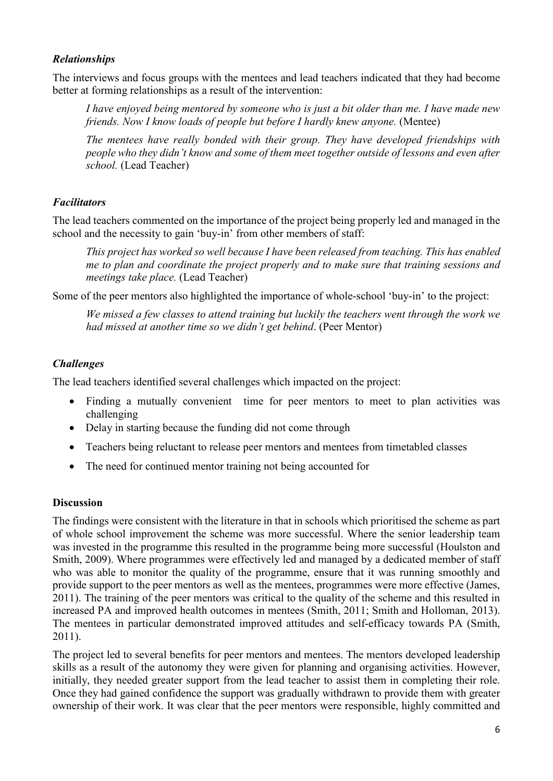# *Relationships*

The interviews and focus groups with the mentees and lead teachers indicated that they had become better at forming relationships as a result of the intervention:

*I have enjoyed being mentored by someone who is just a bit older than me. I have made new friends. Now I know loads of people but before I hardly knew anyone.* (Mentee)

*The mentees have really bonded with their group. They have developed friendships with people who they didn't know and some of them meet together outside of lessons and even after school.* (Lead Teacher)

# *Facilitators*

The lead teachers commented on the importance of the project being properly led and managed in the school and the necessity to gain 'buy-in' from other members of staff:

*This project has worked so well because I have been released from teaching. This has enabled me to plan and coordinate the project properly and to make sure that training sessions and meetings take place.* (Lead Teacher)

Some of the peer mentors also highlighted the importance of whole-school 'buy-in' to the project:

*We missed a few classes to attend training but luckily the teachers went through the work we had missed at another time so we didn't get behind*. (Peer Mentor)

# *Challenges*

The lead teachers identified several challenges which impacted on the project:

- Finding a mutually convenient time for peer mentors to meet to plan activities was challenging
- Delay in starting because the funding did not come through
- Teachers being reluctant to release peer mentors and mentees from timetabled classes
- The need for continued mentor training not being accounted for

## **Discussion**

The findings were consistent with the literature in that in schools which prioritised the scheme as part of whole school improvement the scheme was more successful. Where the senior leadership team was invested in the programme this resulted in the programme being more successful (Houlston and Smith, 2009). Where programmes were effectively led and managed by a dedicated member of staff who was able to monitor the quality of the programme, ensure that it was running smoothly and provide support to the peer mentors as well as the mentees, programmes were more effective (James, 2011). The training of the peer mentors was critical to the quality of the scheme and this resulted in increased PA and improved health outcomes in mentees (Smith, 2011; Smith and Holloman, 2013). The mentees in particular demonstrated improved attitudes and self-efficacy towards PA (Smith, 2011).

The project led to several benefits for peer mentors and mentees. The mentors developed leadership skills as a result of the autonomy they were given for planning and organising activities. However, initially, they needed greater support from the lead teacher to assist them in completing their role. Once they had gained confidence the support was gradually withdrawn to provide them with greater ownership of their work. It was clear that the peer mentors were responsible, highly committed and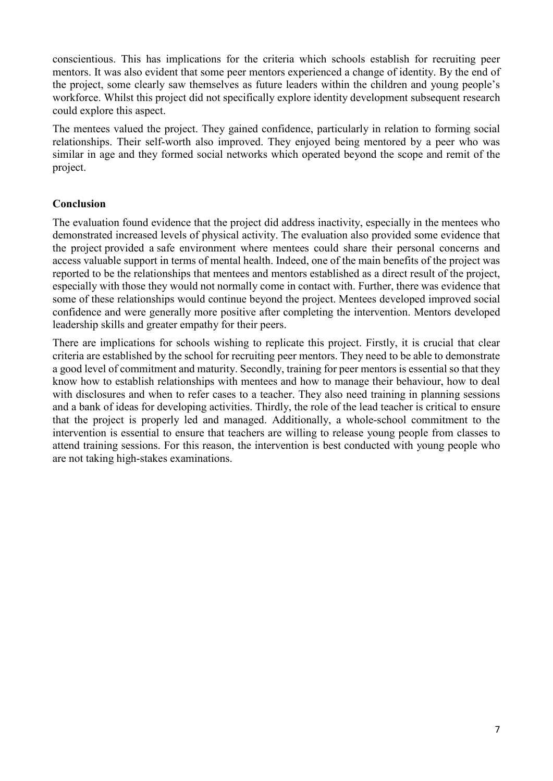conscientious. This has implications for the criteria which schools establish for recruiting peer mentors. It was also evident that some peer mentors experienced a change of identity. By the end of the project, some clearly saw themselves as future leaders within the children and young people's workforce. Whilst this project did not specifically explore identity development subsequent research could explore this aspect.

The mentees valued the project. They gained confidence, particularly in relation to forming social relationships. Their self-worth also improved. They enjoyed being mentored by a peer who was similar in age and they formed social networks which operated beyond the scope and remit of the project.

# **Conclusion**

The evaluation found evidence that the project did address inactivity, especially in the mentees who demonstrated increased levels of physical activity. The evaluation also provided some evidence that the project provided a safe environment where mentees could share their personal concerns and access valuable support in terms of mental health. Indeed, one of the main benefits of the project was reported to be the relationships that mentees and mentors established as a direct result of the project, especially with those they would not normally come in contact with. Further, there was evidence that some of these relationships would continue beyond the project. Mentees developed improved social confidence and were generally more positive after completing the intervention. Mentors developed leadership skills and greater empathy for their peers.

There are implications for schools wishing to replicate this project. Firstly, it is crucial that clear criteria are established by the school for recruiting peer mentors. They need to be able to demonstrate a good level of commitment and maturity. Secondly, training for peer mentors is essential so that they know how to establish relationships with mentees and how to manage their behaviour, how to deal with disclosures and when to refer cases to a teacher. They also need training in planning sessions and a bank of ideas for developing activities. Thirdly, the role of the lead teacher is critical to ensure that the project is properly led and managed. Additionally, a whole-school commitment to the intervention is essential to ensure that teachers are willing to release young people from classes to attend training sessions. For this reason, the intervention is best conducted with young people who are not taking high-stakes examinations.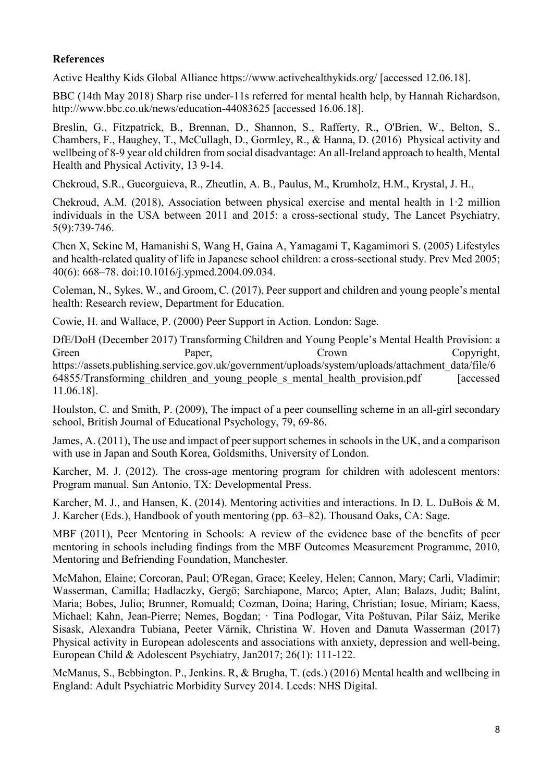# **References**

Active Healthy Kids Global Alliance https://www.activehealthykids.org/ [accessed 12.06.18].

BBC (14th May 2018) Sharp rise under-11s referred for mental health help, by Hannah Richardson, http://www.bbc.co.uk/news/education-44083625 [accessed 16.06.18].

Breslin, G., Fitzpatrick, B., Brennan, D., Shannon, S., Rafferty, R., O'Brien, W., Belton, S., Chambers, F., Haughey, T., McCullagh, D., Gormley, R., & Hanna, D. (2016) Physical activity and wellbeing of 8-9 year old children from social disadvantage: An all-Ireland approach to health, Mental Health and Physical Activity, 13 9-14.

Chekroud, S.R., Gueorguieva, R., Zheutlin, A. B., Paulus, M., Krumholz, H.M., Krystal, J. H.,

Chekroud, A.M. (2018), Association between physical exercise and mental health in 1·2 million individuals in the USA between 2011 and 2015: a cross-sectional study, The Lancet Psychiatry, 5(9):739-746.

Chen X, Sekine M, Hamanishi S, Wang H, Gaina A, Yamagami T, Kagamimori S. (2005) Lifestyles and health-related quality of life in Japanese school children: a cross-sectional study. Prev Med 2005; 40(6): 668–78. doi:10.1016/j.ypmed.2004.09.034.

Coleman, N., Sykes, W., and Groom, C. (2017), Peer support and children and young people's mental health: Research review, Department for Education.

Cowie, H. and Wallace, P. (2000) Peer Support in Action. London: Sage.

DfE/DoH (December 2017) Transforming Children and Young People's Mental Health Provision: a Green Paper, Crown Crown Copyright, https://assets.publishing.service.gov.uk/government/uploads/system/uploads/attachment\_data/file/6 64855/Transforming children and young people s mental health provision.pdf [accessed] 11.06.18].

Houlston, C. and Smith, P. (2009), The impact of a peer counselling scheme in an all-girl secondary school, British Journal of Educational Psychology, 79, 69-86.

James, A. (2011), The use and impact of peer support schemes in schools in the UK, and a comparison with use in Japan and South Korea, Goldsmiths, University of London.

Karcher, M. J. (2012). The cross-age mentoring program for children with adolescent mentors: Program manual. San Antonio, TX: Developmental Press.

Karcher, M. J., and Hansen, K. (2014). Mentoring activities and interactions. In D. L. DuBois & M. J. Karcher (Eds.), Handbook of youth mentoring (pp. 63–82). Thousand Oaks, CA: Sage.

MBF (2011), Peer Mentoring in Schools: A review of the evidence base of the benefits of peer mentoring in schools including findings from the MBF Outcomes Measurement Programme, 2010, Mentoring and Befriending Foundation, Manchester.

McMahon, Elaine; Corcoran, Paul; O'Regan, Grace; Keeley, Helen; Cannon, Mary; Carli, Vladimir; Wasserman, Camilla; Hadlaczky, Gergö; Sarchiapone, Marco; Apter, Alan; Balazs, Judit; Balint, Maria; Bobes, Julio; Brunner, Romuald; Cozman, Doina; Haring, Christian; Iosue, Miriam; Kaess, Michael; Kahn, Jean-Pierre; Nemes, Bogdan; · Tina Podlogar, Vita Poštuvan, Pilar Sáiz, Merike Sisask, Alexandra Tubiana, Peeter Värnik, Christina W. Hoven and Danuta Wasserman (2017) Physical activity in European adolescents and associations with anxiety, depression and well-being, European Child & Adolescent Psychiatry, Jan2017; 26(1): 111-122.

McManus, S., Bebbington. P., Jenkins. R, & Brugha, T. (eds.) (2016) Mental health and wellbeing in England: Adult Psychiatric Morbidity Survey 2014. Leeds: NHS Digital.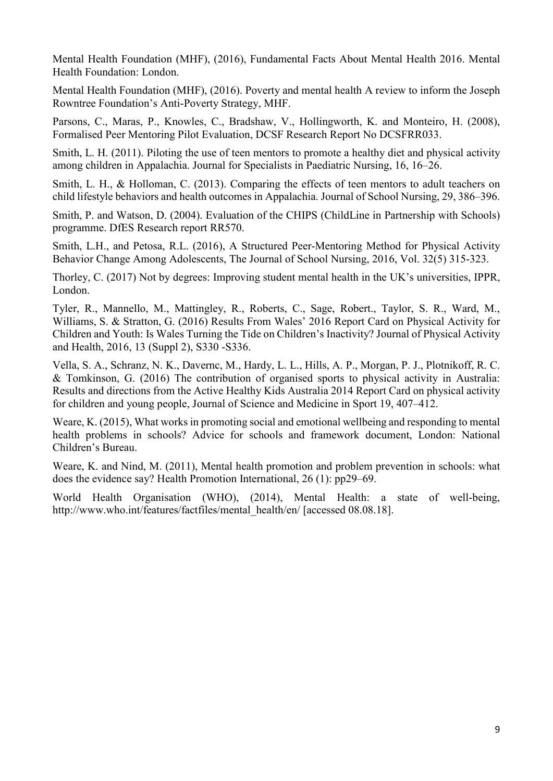Mental Health Foundation (MHF), (2016), Fundamental Facts About Mental Health 2016. Mental Health Foundation: London.

Mental Health Foundation (MHF), (2016). Poverty and mental health A review to inform the Joseph Rowntree Foundation's Anti-Poverty Strategy, MHF.

Parsons, C., Maras, P., Knowles, C., Bradshaw, V., Hollingworth, K. and Monteiro, H. (2008), Formalised Peer Mentoring Pilot Evaluation, DCSF Research Report No DCSFRR033.

Smith, L. H. (2011). Piloting the use of teen mentors to promote a healthy diet and physical activity among children in Appalachia. Journal for Specialists in Paediatric Nursing, 16, 16–26.

Smith, L. H., & Holloman, C. (2013). Comparing the effects of teen mentors to adult teachers on child lifestyle behaviors and health outcomes in Appalachia. Journal of School Nursing, 29, 386–396.

Smith, P. and Watson, D. (2004). Evaluation of the CHIPS (ChildLine in Partnership with Schools) programme. DfES Research report RR570.

Smith, L.H., and Petosa, R.L. (2016), A Structured Peer-Mentoring Method for Physical Activity Behavior Change Among Adolescents, The Journal of School Nursing, 2016, Vol. 32(5) 315-323.

Thorley, C. (2017) Not by degrees: Improving student mental health in the UK's universities, IPPR, London.

Tyler, R., Mannello, M., Mattingley, R., Roberts, C., Sage, Robert., Taylor, S. R., Ward, M., Williams, S. & Stratton, G. (2016) Results From Wales' 2016 Report Card on Physical Activity for Children and Youth: Is Wales Turning the Tide on Children's Inactivity? Journal of Physical Activity and Health, 2016, 13 (Suppl 2), S330 -S336.

Vella, S. A., Schranz, N. K., Davernc, M., Hardy, L. L., Hills, A. P., Morgan, P. J., Plotnikoff, R. C. & Tomkinson, G. (2016) The contribution of organised sports to physical activity in Australia: Results and directions from the Active Healthy Kids Australia 2014 Report Card on physical activity for children and young people, Journal of Science and Medicine in Sport 19, 407–412.

Weare, K. (2015), What works in promoting social and emotional wellbeing and responding to mental health problems in schools? Advice for schools and framework document, London: National Children's Bureau.

Weare, K. and Nind, M. (2011), Mental health promotion and problem prevention in schools: what does the evidence say? Health Promotion International, 26 (1): pp29–69.

World Health Organisation (WHO), (2014), Mental Health: a state of well-being, http://www.who.int/features/factfiles/mental\_health/en/ [accessed 08.08.18].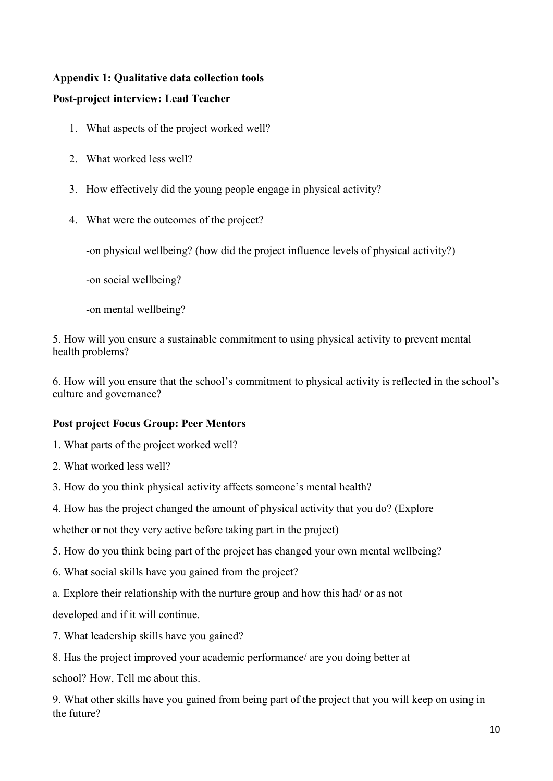# **Appendix 1: Qualitative data collection tools**

# **Post-project interview: Lead Teacher**

- 1. What aspects of the project worked well?
- 2. What worked less well?
- 3. How effectively did the young people engage in physical activity?
- 4. What were the outcomes of the project?

-on physical wellbeing? (how did the project influence levels of physical activity?)

-on social wellbeing?

-on mental wellbeing?

5. How will you ensure a sustainable commitment to using physical activity to prevent mental health problems?

6. How will you ensure that the school's commitment to physical activity is reflected in the school's culture and governance?

# **Post project Focus Group: Peer Mentors**

- 1. What parts of the project worked well?
- 2. What worked less well?
- 3. How do you think physical activity affects someone's mental health?
- 4. How has the project changed the amount of physical activity that you do? (Explore

whether or not they very active before taking part in the project)

- 5. How do you think being part of the project has changed your own mental wellbeing?
- 6. What social skills have you gained from the project?
- a. Explore their relationship with the nurture group and how this had/ or as not

developed and if it will continue.

- 7. What leadership skills have you gained?
- 8. Has the project improved your academic performance/ are you doing better at

school? How, Tell me about this.

9. What other skills have you gained from being part of the project that you will keep on using in the future?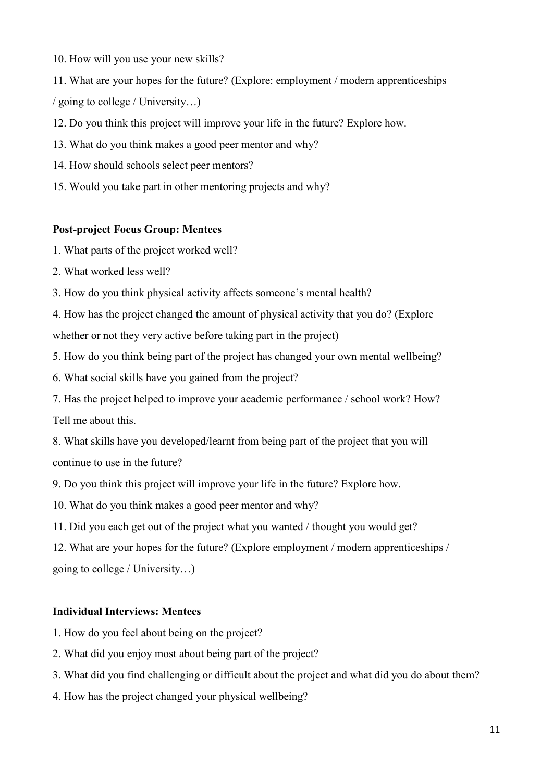- 10. How will you use your new skills?
- 11. What are your hopes for the future? (Explore: employment / modern apprenticeships / going to college / University…)
- 12. Do you think this project will improve your life in the future? Explore how.
- 13. What do you think makes a good peer mentor and why?
- 14. How should schools select peer mentors?
- 15. Would you take part in other mentoring projects and why?

## **Post-project Focus Group: Mentees**

- 1. What parts of the project worked well?
- 2. What worked less well?
- 3. How do you think physical activity affects someone's mental health?
- 4. How has the project changed the amount of physical activity that you do? (Explore whether or not they very active before taking part in the project)
- 5. How do you think being part of the project has changed your own mental wellbeing?
- 6. What social skills have you gained from the project?
- 7. Has the project helped to improve your academic performance / school work? How? Tell me about this.
- 8. What skills have you developed/learnt from being part of the project that you will continue to use in the future?
- 9. Do you think this project will improve your life in the future? Explore how.
- 10. What do you think makes a good peer mentor and why?
- 11. Did you each get out of the project what you wanted / thought you would get?
- 12. What are your hopes for the future? (Explore employment / modern apprenticeships / going to college / University…)

# **Individual Interviews: Mentees**

- 1. How do you feel about being on the project?
- 2. What did you enjoy most about being part of the project?
- 3. What did you find challenging or difficult about the project and what did you do about them?
- 4. How has the project changed your physical wellbeing?